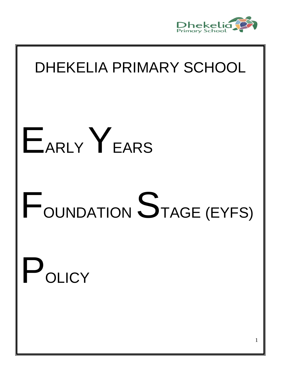

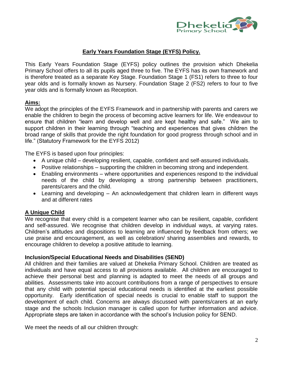

# **Early Years Foundation Stage (EYFS) Policy.**

This Early Years Foundation Stage (EYFS) policy outlines the provision which Dhekelia Primary School offers to all its pupils aged three to five. The EYFS has its own framework and is therefore treated as a separate Key Stage. Foundation Stage 1 (FS1) refers to three to four year olds and is formally known as Nursery. Foundation Stage 2 (FS2) refers to four to five year olds and is formally known as Reception.

# **Aims:**

We adopt the principles of the EYFS Framework and in partnership with parents and carers we enable the children to begin the process of becoming active learners for life. We endeavour to ensure that children "learn and develop well and are kept healthy and safe." We aim to support children in their learning through "teaching and experiences that gives children the broad range of skills that provide the right foundation for good progress through school and in life." (Statutory Framework for the EYFS 2012)

The EYFS is based upon four principles:

- A unique child developing resilient, capable, confident and self-assured individuals.
- Positive relationships supporting the children in becoming strong and independent.
- Enabling environments where opportunities and experiences respond to the individual needs of the child by developing a strong partnership between practitioners, parents/carers and the child.
- Learning and developing An acknowledgement that children learn in different ways and at different rates

# **A Unique Child**

We recognise that every child is a competent learner who can be resilient, capable, confident and self-assured. We recognise that children develop in individual ways, at varying rates. Children's attitudes and dispositions to learning are influenced by feedback from others; we use praise and encouragement, as well as celebration/ sharing assemblies and rewards, to encourage children to develop a positive attitude to learning.

# **Inclusion/Special Educational Needs and Disabilities (SEND)**

All children and their families are valued at Dhekelia Primary School. Children are treated as individuals and have equal access to all provisions available. All children are encouraged to achieve their personal best and planning is adapted to meet the needs of all groups and abilities. Assessments take into account contributions from a range of perspectives to ensure that any child with potential special educational needs is identified at the earliest possible opportunity. Early identification of special needs is crucial to enable staff to support the development of each child. Concerns are always discussed with parents/carers at an early stage and the schools Inclusion manager is called upon for further information and advice. Appropriate steps are taken in accordance with the school's Inclusion policy for SEND.

We meet the needs of all our children through: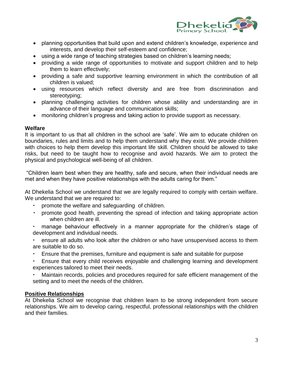

- planning opportunities that build upon and extend children's knowledge, experience and interests, and develop their self-esteem and confidence;
- using a wide range of teaching strategies based on children's learning needs;
- providing a wide range of opportunities to motivate and support children and to help them to learn effectively;
- providing a safe and supportive learning environment in which the contribution of all children is valued;
- using resources which reflect diversity and are free from discrimination and stereotyping;
- planning challenging activities for children whose ability and understanding are in advance of their language and communication skills;
- monitoring children's progress and taking action to provide support as necessary.

# **Welfare**

It is important to us that all children in the school are 'safe'. We aim to educate children on boundaries, rules and limits and to help them understand why they exist. We provide children with choices to help them develop this important life skill. Children should be allowed to take risks, but need to be taught how to recognise and avoid hazards. We aim to protect the physical and psychological well-being of all children.

"Children learn best when they are healthy, safe and secure, when their individual needs are met and when they have positive relationships with the adults caring for them."

At Dhekelia School we understand that we are legally required to comply with certain welfare. We understand that we are required to:

- promote the welfare and safeguarding of children.
- promote good health, preventing the spread of infection and taking appropriate action when children are ill.
- manage behaviour effectively in a manner appropriate for the children's stage of development and individual needs.
- ensure all adults who look after the children or who have unsupervised access to them are suitable to do so.
- Ensure that the premises, furniture and equipment is safe and suitable for purpose
- Ensure that every child receives enjoyable and challenging learning and development experiences tailored to meet their needs.
- Maintain records, policies and procedures required for safe efficient management of the setting and to meet the needs of the children.

# **Positive Relationships**

At Dhekelia School we recognise that children learn to be strong independent from secure relationships. We aim to develop caring, respectful, professional relationships with the children and their families.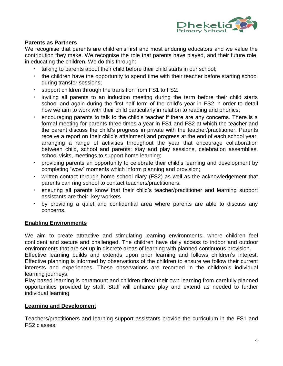

# **Parents as Partners**

We recognise that parents are children's first and most enduring educators and we value the contribution they make. We recognise the role that parents have played, and their future role, in educating the children. We do this through:

- talking to parents about their child before their child starts in our school;
- the children have the opportunity to spend time with their teacher before starting school during transfer sessions;
- support children through the transition from FS1 to FS2.
- inviting all parents to an induction meeting during the term before their child starts school and again during the first half term of the child's year in FS2 in order to detail how we aim to work with their child particularly in relation to reading and phonics;
- encouraging parents to talk to the child's teacher if there are any concerns. There is a formal meeting for parents three times a year in FS1 and FS2 at which the teacher and the parent discuss the child's progress in private with the teacher/practitioner. Parents receive a report on their child's attainment and progress at the end of each school year. arranging a range of activities throughout the year that encourage collaboration between child, school and parents: stay and play sessions, celebration assemblies, school visits, meetings to support home learning;
- providing parents an opportunity to celebrate their child's learning and development by completing "wow" moments which inform planning and provision;
- written contact through home school diary (FS2) as well as the acknowledgement that parents can ring school to contact teachers/practitioners.
- ensuring all parents know that their child's teacher/practitioner and learning support assistants are their key workers
- by providing a quiet and confidential area where parents are able to discuss any concerns.

# **Enabling Environments**

We aim to create attractive and stimulating learning environments, where children feel confident and secure and challenged. The children have daily access to indoor and outdoor environments that are set up in discrete areas of learning with planned continuous provision.

Effective learning builds and extends upon prior learning and follows children's interest. Effective planning is informed by observations of the children to ensure we follow their current interests and experiences. These observations are recorded in the children's individual learning journeys.

Play based learning is paramount and children direct their own learning from carefully planned opportunities provided by staff. Staff will enhance play and extend as needed to further individual learning.

# **Learning and Development**

Teachers/practitioners and learning support assistants provide the curriculum in the FS1 and FS2 classes.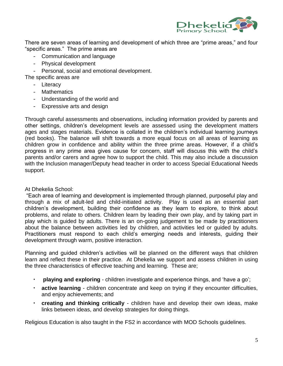

There are seven areas of learning and development of which three are "prime areas," and four "specific areas." The prime areas are

- Communication and language
- Physical development
- Personal, social and emotional development.

The specific areas are

- Literacy
- Mathematics
- Understanding of the world and
- Expressive arts and design

Through careful assessments and observations, including information provided by parents and other settings, children's development levels are assessed using the development matters ages and stages materials. Evidence is collated in the children's individual learning journeys (red books). The balance will shift towards a more equal focus on all areas of learning as children grow in confidence and ability within the three prime areas. However, if a child's progress in any prime area gives cause for concern, staff will discuss this with the child's parents and/or carers and agree how to support the child. This may also include a discussion with the Inclusion manager/Deputy head teacher in order to access Special Educational Needs support.

# At Dhekelia School:

"Each area of learning and development is implemented through planned, purposeful play and through a mix of adult-led and child-initiated activity. Play is used as an essential part children's development, building their confidence as they learn to explore, to think about problems, and relate to others. Children learn by leading their own play, and by taking part in play which is guided by adults. There is an on-going judgement to be made by practitioners about the balance between activities led by children, and activities led or guided by adults. Practitioners must respond to each child's emerging needs and interests, guiding their development through warm, positive interaction.

Planning and guided children's activities will be planned on the different ways that children learn and reflect these in their practice. At Dhekelia we support and assess children in using the three characteristics of effective teaching and learning. These are;

- **playing and exploring**  children investigate and experience things, and 'have a go';
- **active learning**  children concentrate and keep on trying if they encounter difficulties, and enjoy achievements; and
- **creating and thinking critically**  children have and develop their own ideas, make links between ideas, and develop strategies for doing things.

Religious Education is also taught in the FS2 in accordance with MOD Schools guidelines.